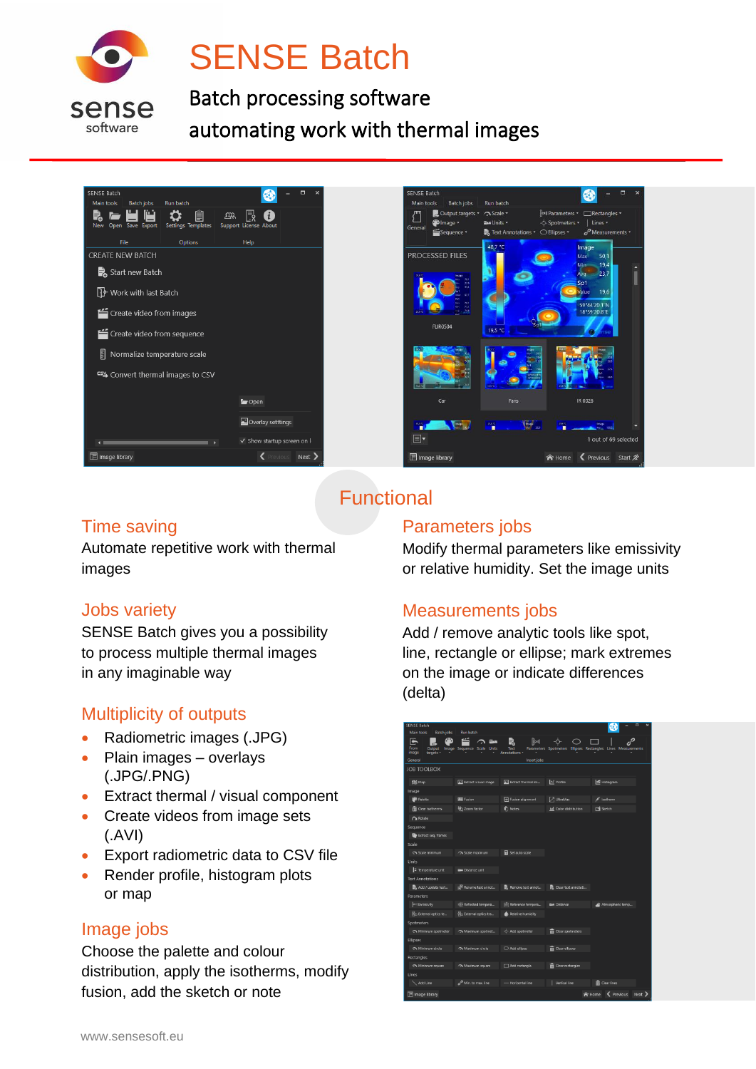

# **SENSE Batch**

Batch processing software automating work with thermal images

| SENSE Batch                       |                                       |                           |    |                            |  |  | $\overline{\mathbf{x}}$ |  |
|-----------------------------------|---------------------------------------|---------------------------|----|----------------------------|--|--|-------------------------|--|
| Main tools                        | <b>Run batch</b><br><b>Batch jobs</b> |                           | ΔR |                            |  |  |                         |  |
| New Open Save Export              |                                       | <b>Settings Templates</b> |    | Support License About      |  |  |                         |  |
| File                              |                                       | Options                   |    | Help                       |  |  |                         |  |
| <b>CREATE NEW BATCH</b>           |                                       |                           |    |                            |  |  |                         |  |
| Start new Batch                   |                                       |                           |    |                            |  |  |                         |  |
| P Work with last Batch            |                                       |                           |    |                            |  |  |                         |  |
| Create video from images          |                                       |                           |    |                            |  |  |                         |  |
| Create video from sequence        |                                       |                           |    |                            |  |  |                         |  |
| 틹<br>Normalize temperature scale  |                                       |                           |    |                            |  |  |                         |  |
| CSY Convert thermal images to CSV |                                       |                           |    |                            |  |  |                         |  |
|                                   |                                       |                           |    | <b>Corpore</b>             |  |  |                         |  |
|                                   |                                       |                           |    | Overlay setttings          |  |  |                         |  |
|                                   |                                       |                           |    | √ Show startup screen on I |  |  |                         |  |
| <b>TE</b> Image library           |                                       |                           |    | Previous Next >            |  |  |                         |  |



# **Functional**

# Time saving

Automate repetitive work with thermal images

#### Jobs variety

SENSE Batch gives you a possibility to process multiple thermal images in any imaginable way

## Multiplicity of outputs

- Radiometric images (.JPG)
- Plain images overlays (.JPG/.PNG)
- Extract thermal / visual component
- Create videos from image sets (.AVI)
- Export radiometric data to CSV file
- Render profile, histogram plots or map

## Image jobs

Choose the palette and colour distribution, apply the isotherms, modify fusion, add the sketch or note

#### Parameters jobs

Modify thermal parameters like emissivity or relative humidity. Set the image units

## Measurements jobs

Add / remove analytic tools like spot, line, rectangle or ellipse; mark extremes on the image or indicate differences (delta)

| Servse Batch<br><b>Main tools</b><br><b>Batch jobs</b> | Run batch                                            |                                                           |                           |                                                              |
|--------------------------------------------------------|------------------------------------------------------|-----------------------------------------------------------|---------------------------|--------------------------------------------------------------|
| F<br>From<br>Output<br>image<br>targets                | $\curvearrowright$ con<br>Image Sequence Scale Units | $\sqrt{\frac{1}{2}}$<br>Text<br>Annotations -             |                           | Parameters Spotmeters Ellipses Rectangles Lines Measurements |
| General                                                |                                                      | Insert jobs                                               |                           |                                                              |
| <b>JOB TOOLBOX</b>                                     |                                                      |                                                           |                           |                                                              |
| <b>精 Map</b>                                           | Ed Extract visual image                              | [a] Extract thermal im                                    | M Profile                 | 区 Histogram                                                  |
| Image                                                  |                                                      |                                                           |                           |                                                              |
| <b>Palette</b>                                         | <b>HM</b> Fusion                                     | Fusion alignment                                          | J UltraMax                | Isotherm                                                     |
| Clear isotherms                                        | (b) Zoom factor                                      | <b>i</b> Notes                                            | hal Color distribution    | Sketch                                                       |
| <b>Of Rotate</b>                                       |                                                      |                                                           |                           |                                                              |
| Sequence                                               |                                                      |                                                           |                           |                                                              |
| <b>Le</b> Extract seq. frames                          |                                                      |                                                           |                           |                                                              |
| Scale                                                  |                                                      |                                                           |                           |                                                              |
| Scale minimum                                          | Co Scale maximum                                     | Set auto scale                                            |                           |                                                              |
| Units                                                  |                                                      |                                                           |                           |                                                              |
| F Temperature unit                                     | <b>WAN</b> Distance unit                             |                                                           |                           |                                                              |
| <b>Text Annotations</b>                                |                                                      |                                                           |                           |                                                              |
| Add / update text                                      | R Rename text annot                                  | R Remove text annot                                       | Clear text annotati       |                                                              |
| Parameters                                             |                                                      |                                                           |                           |                                                              |
| Pell Emissivity                                        | (i) Reflected tempera                                | Reference tempera                                         | <b>Bax Distance</b>       | Atmospheric temp                                             |
| <b>B</b> External optics te                            | B <sub>D</sub> External optics tra                   | Relative humidity                                         |                           |                                                              |
| <b>Spotmeters</b>                                      |                                                      |                                                           |                           |                                                              |
| Minimum spotmeter                                      | A Maximum spotmet                                    | $\stackrel{\scriptscriptstyle\circ}{\circ}$ Add spotmeter | <b>n</b> Clear spotmeters |                                                              |
| Ellipses                                               |                                                      |                                                           |                           |                                                              |
| Minimum circle                                         | A Maximum circle                                     | Add ellipse                                               | <b>TT</b> Clear ellipses  |                                                              |
| Rectangles                                             |                                                      |                                                           |                           |                                                              |
| Minimum square                                         | A Maximum square                                     | Add rectangle                                             | <b>n</b> Clear rectangles |                                                              |
| Lines                                                  |                                                      |                                                           |                           |                                                              |
| Add Line                                               | o <sup>2</sup> Min. to max. line                     | Horizontal line                                           | Vertical line             | <b>TT</b> Clear lines                                        |
| Image library                                          |                                                      |                                                           | <b>合</b> Home             | < Previous<br>Next                                           |